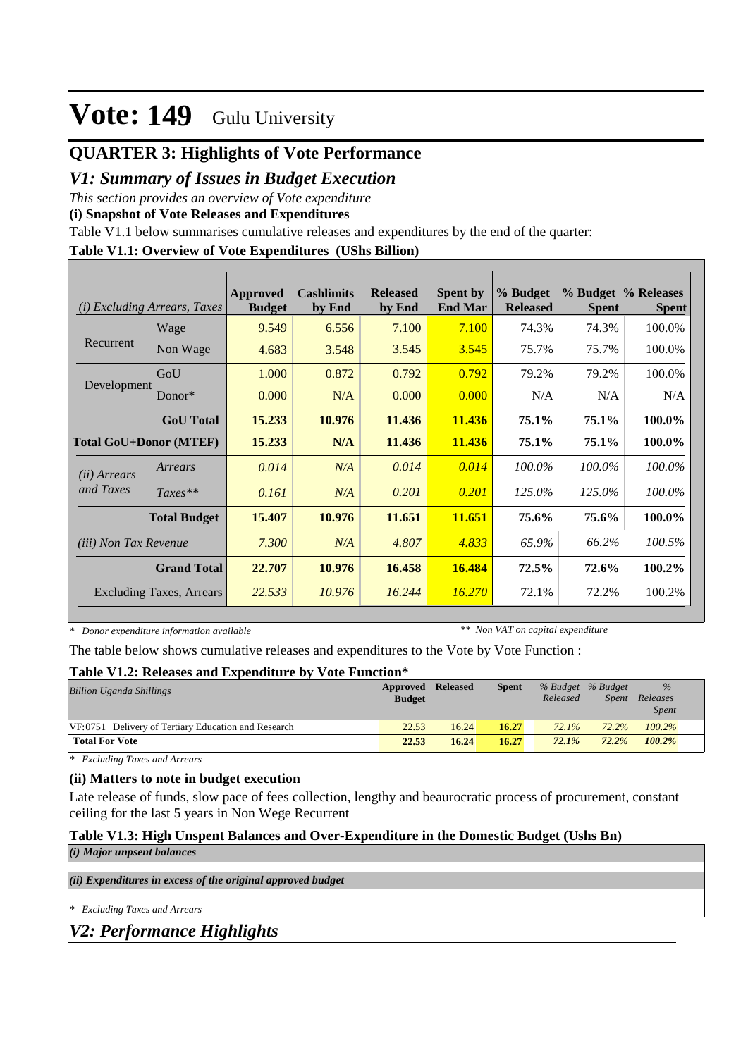### **QUARTER 3: Highlights of Vote Performance**

### *V1: Summary of Issues in Budget Execution*

*This section provides an overview of Vote expenditure* 

**(i) Snapshot of Vote Releases and Expenditures**

Table V1.1 below summarises cumulative releases and expenditures by the end of the quarter:

#### **Table V1.1: Overview of Vote Expenditures (UShs Billion)**

| (i)                          | <i>Excluding Arrears, Taxes</i> | Approved<br><b>Budget</b> | <b>Cashlimits</b><br>by End | <b>Released</b><br>by End | <b>Spent by</b><br><b>End Mar</b> | % Budget<br><b>Released</b> | <b>Spent</b> | % Budget % Releases<br><b>Spent</b> |
|------------------------------|---------------------------------|---------------------------|-----------------------------|---------------------------|-----------------------------------|-----------------------------|--------------|-------------------------------------|
|                              | Wage                            | 9.549                     | 6.556                       | 7.100                     | 7.100                             | 74.3%                       | 74.3%        | 100.0%                              |
| Recurrent                    | Non Wage                        | 4.683                     | 3.548                       | 3.545                     | 3.545                             | 75.7%                       | 75.7%        | 100.0%                              |
|                              | GoU                             | 1.000                     | 0.872                       | 0.792                     | 0.792                             | 79.2%                       | 79.2%        | 100.0%                              |
| Development                  | Donor $*$                       | 0.000                     | N/A                         | 0.000                     | 0.000                             | N/A                         | N/A          | N/A                                 |
|                              | <b>GoU</b> Total                | 15.233                    | 10.976                      | 11.436                    | 11.436                            | 75.1%                       | 75.1%        | 100.0%                              |
|                              | <b>Total GoU+Donor (MTEF)</b>   | 15.233                    | N/A                         | 11.436                    | 11.436                            | 75.1%                       | 75.1%        | 100.0%                              |
| ( <i>ii</i> ) Arrears        | Arrears                         | 0.014                     | N/A                         | 0.014                     | 0.014                             | 100.0%                      | $100.0\%$    | 100.0%                              |
| and Taxes                    | $Taxes**$                       | 0.161                     | N/A                         | 0.201                     | 0.201                             | 125.0%                      | 125.0%       | 100.0%                              |
|                              | <b>Total Budget</b>             | 15.407                    | 10.976                      | 11.651                    | 11.651                            | 75.6%                       | 75.6%        | 100.0%                              |
| <i>(iii)</i> Non Tax Revenue |                                 | 7.300                     | N/A                         | 4.807                     | 4.833                             | 65.9%                       | 66.2%        | 100.5%                              |
|                              | <b>Grand Total</b>              | 22.707                    | 10.976                      | 16.458                    | 16.484                            | 72.5%                       | 72.6%        | 100.2%                              |
|                              | <b>Excluding Taxes, Arrears</b> | 22.533                    | 10.976                      | 16.244                    | 16.270                            | 72.1%                       | 72.2%        | 100.2%                              |

*\* Donor expenditure information available*

*\*\* Non VAT on capital expenditure*

The table below shows cumulative releases and expenditures to the Vote by Vote Function :

#### **Table V1.2: Releases and Expenditure by Vote Function\***

| <b>Billion Uganda Shillings</b>                     | Approved Released<br><b>Budget</b> |       | <b>Spent</b> | % Budget % Budget<br>Released | Spent    | $\frac{9}{6}$<br>Releases<br><i>Spent</i> |  |
|-----------------------------------------------------|------------------------------------|-------|--------------|-------------------------------|----------|-------------------------------------------|--|
| VF:0751 Delivery of Tertiary Education and Research | 22.53                              | 16.24 | 16.27        | 72.1%                         | 72.2%    | $100.2\%$                                 |  |
| <b>Total For Vote</b>                               | 22.53                              | 16.24 | 16.27        | $72.1\%$                      | $72.2\%$ | 100.2%                                    |  |

*\* Excluding Taxes and Arrears*

#### **(ii) Matters to note in budget execution**

Late release of funds, slow pace of fees collection, lengthy and beaurocratic process of procurement, constant ceiling for the last 5 years in Non Wege Recurrent

#### **Table V1.3: High Unspent Balances and Over-Expenditure in the Domestic Budget (Ushs Bn)**

| (i) Major unpsent balances                                  |
|-------------------------------------------------------------|
|                                                             |
| (ii) Expenditures in excess of the original approved budget |
|                                                             |
| * Excluding Taxes and Arrears                               |

*V2: Performance Highlights*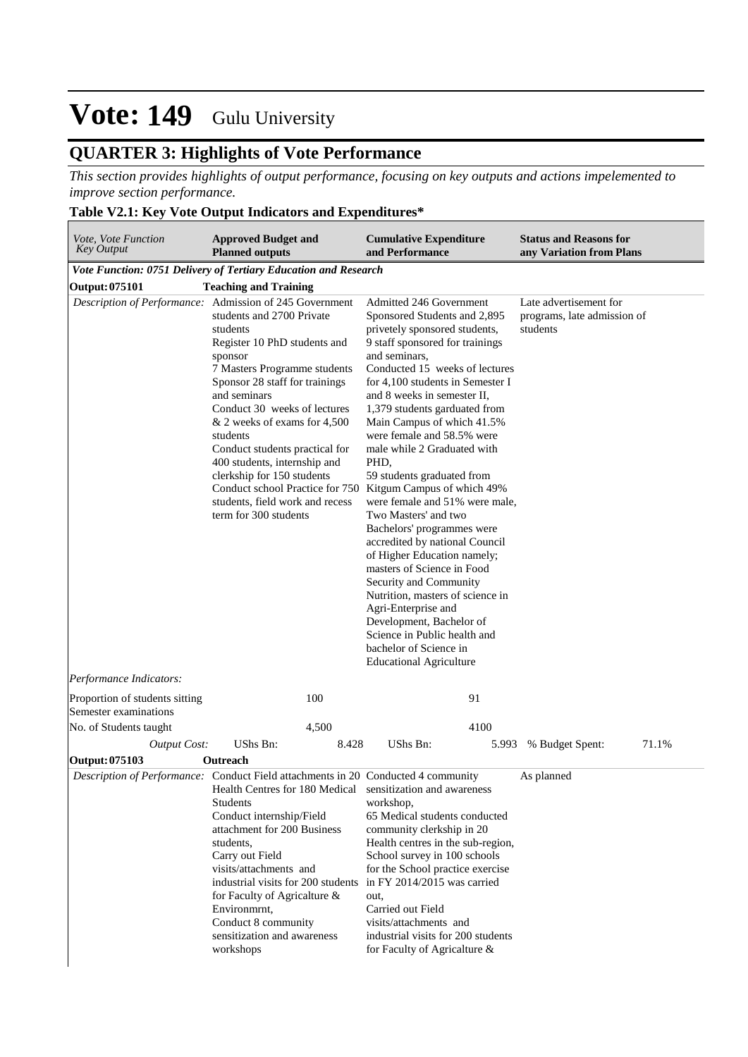### **QUARTER 3: Highlights of Vote Performance**

*This section provides highlights of output performance, focusing on key outputs and actions impelemented to improve section performance.*

#### **Table V2.1: Key Vote Output Indicators and Expenditures\***

| Vote, Vote Function<br><b>Key Output</b>                | <b>Approved Budget and</b><br><b>Planned outputs</b>                                                                                                                                                                                                                                                                                                                                                                                                                                                                                | <b>Cumulative Expenditure</b><br>and Performance                                                                                                                                                                                                                                                                                                                                                                                                                                                                                                                                                                                                                                                                                                                                                                        | <b>Status and Reasons for</b><br>any Variation from Plans         |
|---------------------------------------------------------|-------------------------------------------------------------------------------------------------------------------------------------------------------------------------------------------------------------------------------------------------------------------------------------------------------------------------------------------------------------------------------------------------------------------------------------------------------------------------------------------------------------------------------------|-------------------------------------------------------------------------------------------------------------------------------------------------------------------------------------------------------------------------------------------------------------------------------------------------------------------------------------------------------------------------------------------------------------------------------------------------------------------------------------------------------------------------------------------------------------------------------------------------------------------------------------------------------------------------------------------------------------------------------------------------------------------------------------------------------------------------|-------------------------------------------------------------------|
|                                                         | Vote Function: 0751 Delivery of Tertiary Education and Research                                                                                                                                                                                                                                                                                                                                                                                                                                                                     |                                                                                                                                                                                                                                                                                                                                                                                                                                                                                                                                                                                                                                                                                                                                                                                                                         |                                                                   |
| <b>Output: 075101</b>                                   | <b>Teaching and Training</b>                                                                                                                                                                                                                                                                                                                                                                                                                                                                                                        |                                                                                                                                                                                                                                                                                                                                                                                                                                                                                                                                                                                                                                                                                                                                                                                                                         |                                                                   |
| Performance Indicators:                                 | Description of Performance: Admission of 245 Government<br>students and 2700 Private<br>students<br>Register 10 PhD students and<br>sponsor<br>7 Masters Programme students<br>Sponsor 28 staff for trainings<br>and seminars<br>Conduct 30 weeks of lectures<br>& 2 weeks of exams for 4,500<br>students<br>Conduct students practical for<br>400 students, internship and<br>clerkship for 150 students<br>Conduct school Practice for 750 Kitgum Campus of which 49%<br>students, field work and recess<br>term for 300 students | Admitted 246 Government<br>Sponsored Students and 2,895<br>privetely sponsored students,<br>9 staff sponsored for trainings<br>and seminars,<br>Conducted 15 weeks of lectures<br>for 4,100 students in Semester I<br>and 8 weeks in semester II,<br>1,379 students garduated from<br>Main Campus of which 41.5%<br>were female and 58.5% were<br>male while 2 Graduated with<br>PHD,<br>59 students graduated from<br>were female and 51% were male,<br>Two Masters' and two<br>Bachelors' programmes were<br>accredited by national Council<br>of Higher Education namely;<br>masters of Science in Food<br>Security and Community<br>Nutrition, masters of science in<br>Agri-Enterprise and<br>Development, Bachelor of<br>Science in Public health and<br>bachelor of Science in<br><b>Educational Agriculture</b> | Late advertisement for<br>programs, late admission of<br>students |
|                                                         | 100                                                                                                                                                                                                                                                                                                                                                                                                                                                                                                                                 | 91                                                                                                                                                                                                                                                                                                                                                                                                                                                                                                                                                                                                                                                                                                                                                                                                                      |                                                                   |
| Proportion of students sitting<br>Semester examinations |                                                                                                                                                                                                                                                                                                                                                                                                                                                                                                                                     |                                                                                                                                                                                                                                                                                                                                                                                                                                                                                                                                                                                                                                                                                                                                                                                                                         |                                                                   |
| No. of Students taught                                  | 4,500                                                                                                                                                                                                                                                                                                                                                                                                                                                                                                                               | 4100                                                                                                                                                                                                                                                                                                                                                                                                                                                                                                                                                                                                                                                                                                                                                                                                                    |                                                                   |
| <b>Output Cost:</b>                                     | <b>UShs Bn:</b><br>8.428                                                                                                                                                                                                                                                                                                                                                                                                                                                                                                            | UShs Bn:<br>5.993                                                                                                                                                                                                                                                                                                                                                                                                                                                                                                                                                                                                                                                                                                                                                                                                       | % Budget Spent:<br>71.1%                                          |
| <b>Output: 075103</b>                                   | Outreach                                                                                                                                                                                                                                                                                                                                                                                                                                                                                                                            |                                                                                                                                                                                                                                                                                                                                                                                                                                                                                                                                                                                                                                                                                                                                                                                                                         |                                                                   |
|                                                         | Description of Performance: Conduct Field attachments in 20 Conducted 4 community<br>Health Centres for 180 Medical<br>Students<br>Conduct internship/Field<br>attachment for 200 Business<br>students,<br>Carry out Field<br>visits/attachments and<br>industrial visits for 200 students<br>for Faculty of Agricalture $\&$<br>Environmrnt,<br>Conduct 8 community<br>sensitization and awareness<br>workshops                                                                                                                    | sensitization and awareness<br>workshop,<br>65 Medical students conducted<br>community clerkship in 20<br>Health centres in the sub-region,<br>School survey in 100 schools<br>for the School practice exercise<br>in FY 2014/2015 was carried<br>out,<br>Carried out Field<br>visits/attachments and<br>industrial visits for 200 students<br>for Faculty of Agricalture &                                                                                                                                                                                                                                                                                                                                                                                                                                             | As planned                                                        |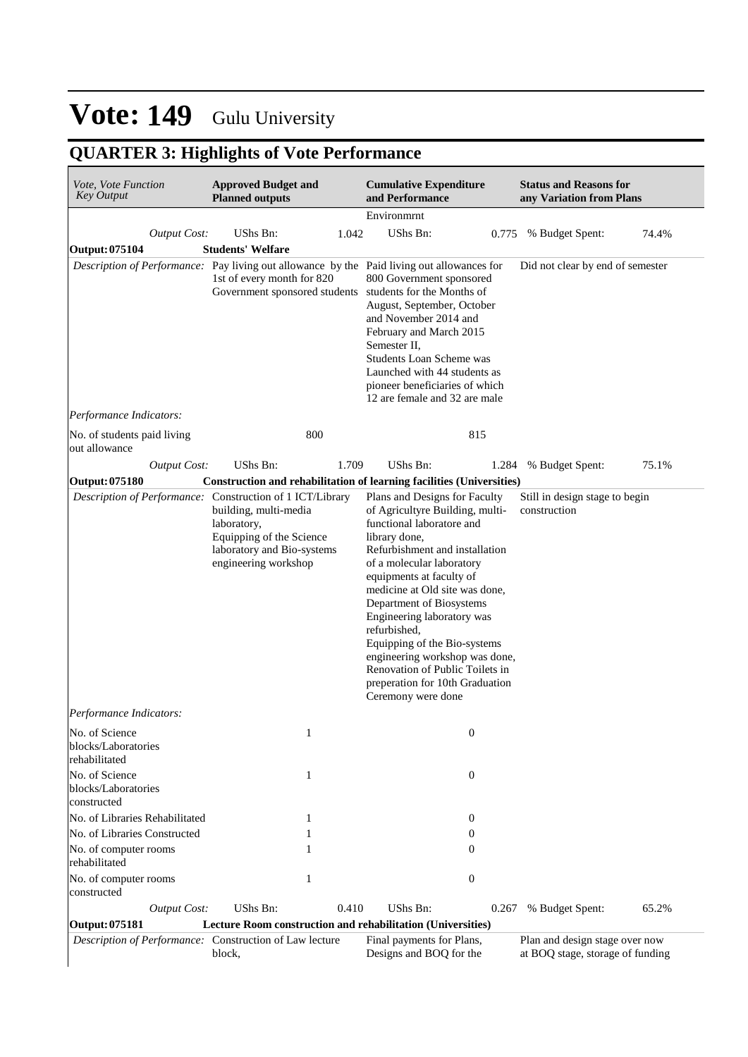## **QUARTER 3: Highlights of Vote Performance**

| Vote, Vote Function<br><b>Key Output</b>                                                        | <b>Approved Budget and</b><br><b>Planned outputs</b>                                                                                                                                 | <b>Cumulative Expenditure</b><br>and Performance                                                                                                                                                                                                                                                                                                                                                                                                                                    | <b>Status and Reasons for</b><br>any Variation from Plans          |
|-------------------------------------------------------------------------------------------------|--------------------------------------------------------------------------------------------------------------------------------------------------------------------------------------|-------------------------------------------------------------------------------------------------------------------------------------------------------------------------------------------------------------------------------------------------------------------------------------------------------------------------------------------------------------------------------------------------------------------------------------------------------------------------------------|--------------------------------------------------------------------|
|                                                                                                 |                                                                                                                                                                                      | Environmrnt                                                                                                                                                                                                                                                                                                                                                                                                                                                                         |                                                                    |
| <b>Output Cost:</b>                                                                             | UShs Bn:<br>1.042                                                                                                                                                                    | UShs Bn:<br>0.775                                                                                                                                                                                                                                                                                                                                                                                                                                                                   | % Budget Spent:<br>74.4%                                           |
| <b>Output: 075104</b>                                                                           | <b>Students' Welfare</b>                                                                                                                                                             |                                                                                                                                                                                                                                                                                                                                                                                                                                                                                     |                                                                    |
|                                                                                                 | Description of Performance: Pay living out allowance by the Paid living out allowances for<br>1st of every month for 820<br>Government sponsored students students for the Months of | 800 Government sponsored<br>August, September, October<br>and November 2014 and<br>February and March 2015<br>Semester II,<br><b>Students Loan Scheme was</b><br>Launched with 44 students as<br>pioneer beneficiaries of which<br>12 are female and 32 are male                                                                                                                                                                                                                    | Did not clear by end of semester                                   |
| Performance Indicators:                                                                         |                                                                                                                                                                                      |                                                                                                                                                                                                                                                                                                                                                                                                                                                                                     |                                                                    |
| No. of students paid living<br>out allowance                                                    | 800                                                                                                                                                                                  | 815                                                                                                                                                                                                                                                                                                                                                                                                                                                                                 |                                                                    |
| <b>Output Cost:</b>                                                                             | UShs Bn:<br>1.709                                                                                                                                                                    | UShs Bn:<br>1.284                                                                                                                                                                                                                                                                                                                                                                                                                                                                   | 75.1%<br>% Budget Spent:                                           |
| <b>Output: 075180</b>                                                                           |                                                                                                                                                                                      | Construction and rehabilitation of learning facilities (Universities)                                                                                                                                                                                                                                                                                                                                                                                                               |                                                                    |
|                                                                                                 | Description of Performance: Construction of 1 ICT/Library<br>building, multi-media<br>laboratory,<br>Equipping of the Science<br>laboratory and Bio-systems<br>engineering workshop  | Plans and Designs for Faculty<br>of Agricultyre Building, multi-<br>functional laboratore and<br>library done,<br>Refurbishment and installation<br>of a molecular laboratory<br>equipments at faculty of<br>medicine at Old site was done,<br>Department of Biosystems<br>Engineering laboratory was<br>refurbished,<br>Equipping of the Bio-systems<br>engineering workshop was done,<br>Renovation of Public Toilets in<br>preperation for 10th Graduation<br>Ceremony were done | Still in design stage to begin<br>construction                     |
| Performance Indicators:                                                                         |                                                                                                                                                                                      |                                                                                                                                                                                                                                                                                                                                                                                                                                                                                     |                                                                    |
| No. of Science<br>blocks/Laboratories<br>rehabilitated<br>No. of Science<br>blocks/Laboratories | 1                                                                                                                                                                                    | $\boldsymbol{0}$<br>$\mathbf{0}$                                                                                                                                                                                                                                                                                                                                                                                                                                                    |                                                                    |
| constructed                                                                                     |                                                                                                                                                                                      |                                                                                                                                                                                                                                                                                                                                                                                                                                                                                     |                                                                    |
| No. of Libraries Rehabilitated                                                                  | 1                                                                                                                                                                                    | 0                                                                                                                                                                                                                                                                                                                                                                                                                                                                                   |                                                                    |
| No. of Libraries Constructed                                                                    |                                                                                                                                                                                      | $\overline{0}$                                                                                                                                                                                                                                                                                                                                                                                                                                                                      |                                                                    |
| No. of computer rooms<br>rehabilitated                                                          |                                                                                                                                                                                      | 0                                                                                                                                                                                                                                                                                                                                                                                                                                                                                   |                                                                    |
| No. of computer rooms<br>constructed                                                            | 1                                                                                                                                                                                    | $\boldsymbol{0}$                                                                                                                                                                                                                                                                                                                                                                                                                                                                    |                                                                    |
| <b>Output Cost:</b>                                                                             | UShs Bn:<br>0.410                                                                                                                                                                    | UShs Bn:<br>0.267                                                                                                                                                                                                                                                                                                                                                                                                                                                                   | 65.2%<br>% Budget Spent:                                           |
| <b>Output: 075181</b><br>Description of Performance: Construction of Law lecture                | Lecture Room construction and rehabilitation (Universities)<br>block,                                                                                                                | Final payments for Plans,<br>Designs and BOQ for the                                                                                                                                                                                                                                                                                                                                                                                                                                | Plan and design stage over now<br>at BOQ stage, storage of funding |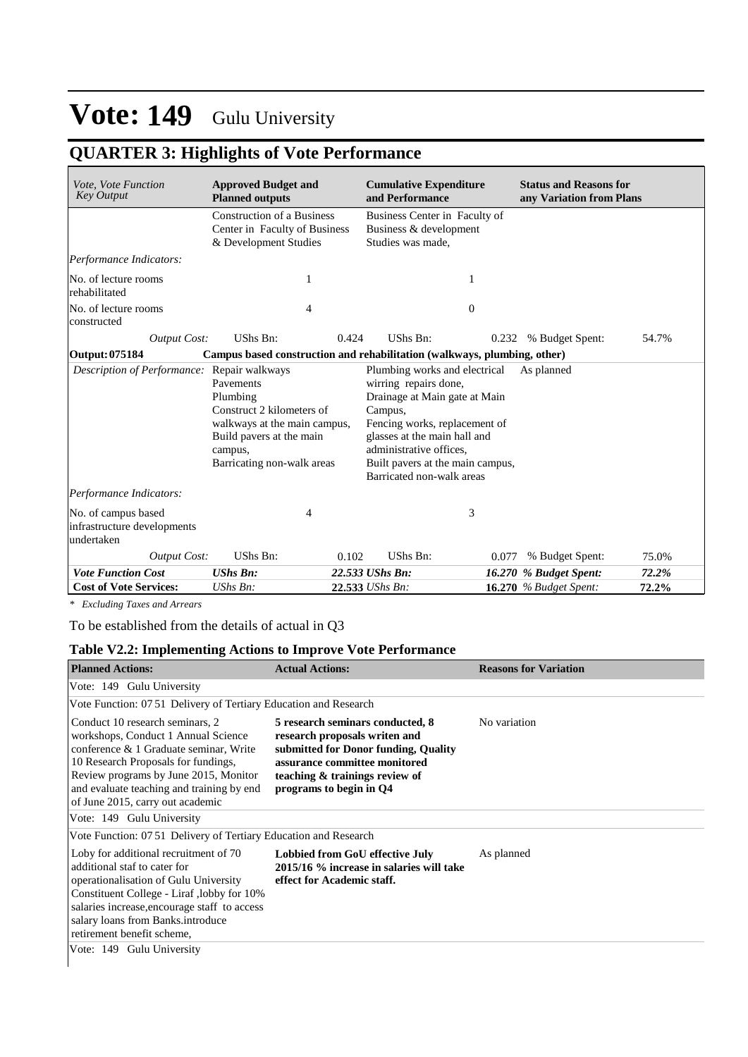### **QUARTER 3: Highlights of Vote Performance**

| Vote, Vote Function<br><b>Key Output</b>                         | <b>Approved Budget and</b><br><b>Planned outputs</b>                                                                                                    |       | <b>Cumulative Expenditure</b><br>and Performance                                                                                                                                                                                                                |       | <b>Status and Reasons for</b><br>any Variation from Plans |       |
|------------------------------------------------------------------|---------------------------------------------------------------------------------------------------------------------------------------------------------|-------|-----------------------------------------------------------------------------------------------------------------------------------------------------------------------------------------------------------------------------------------------------------------|-------|-----------------------------------------------------------|-------|
|                                                                  | <b>Construction of a Business</b><br>Center in Faculty of Business<br>& Development Studies                                                             |       | Business Center in Faculty of<br>Business & development<br>Studies was made,                                                                                                                                                                                    |       |                                                           |       |
| Performance Indicators:                                          |                                                                                                                                                         |       |                                                                                                                                                                                                                                                                 |       |                                                           |       |
| No. of lecture rooms<br>rehabilitated                            | 1                                                                                                                                                       |       | 1                                                                                                                                                                                                                                                               |       |                                                           |       |
| No. of lecture rooms<br>constructed                              | 4                                                                                                                                                       |       | $\mathbf{0}$                                                                                                                                                                                                                                                    |       |                                                           |       |
| <b>Output Cost:</b>                                              | UShs Bn:                                                                                                                                                | 0.424 | UShs Bn:                                                                                                                                                                                                                                                        | 0.232 | % Budget Spent:                                           | 54.7% |
| Output: 075184                                                   | Campus based construction and rehabilitation (walkways, plumbing, other)                                                                                |       |                                                                                                                                                                                                                                                                 |       |                                                           |       |
| <i>Description of Performance:</i> Repair walkways               | Pavements<br>Plumbing<br>Construct 2 kilometers of<br>walkways at the main campus,<br>Build pavers at the main<br>campus,<br>Barricating non-walk areas |       | Plumbing works and electrical<br>wirring repairs done,<br>Drainage at Main gate at Main<br>Campus,<br>Fencing works, replacement of<br>glasses at the main hall and<br>administrative offices.<br>Built pavers at the main campus,<br>Barricated non-walk areas |       | As planned                                                |       |
| Performance Indicators:                                          |                                                                                                                                                         |       |                                                                                                                                                                                                                                                                 |       |                                                           |       |
| No. of campus based<br>infrastructure developments<br>undertaken | 4                                                                                                                                                       |       | 3                                                                                                                                                                                                                                                               |       |                                                           |       |
| <b>Output Cost:</b>                                              | UShs Bn:                                                                                                                                                | 0.102 | UShs Bn:                                                                                                                                                                                                                                                        | 0.077 | % Budget Spent:                                           | 75.0% |
| <b>Vote Function Cost</b>                                        | <b>UShs Bn:</b>                                                                                                                                         |       | 22.533 UShs Bn:                                                                                                                                                                                                                                                 |       | 16.270 % Budget Spent:                                    | 72.2% |
| <b>Cost of Vote Services:</b>                                    | UShs Bn:                                                                                                                                                |       | 22.533 UShs Bn:                                                                                                                                                                                                                                                 |       | <b>16.270</b> % Budget Spent:                             | 72.2% |

*\* Excluding Taxes and Arrears*

To be established from the details of actual in Q3

#### **Table V2.2: Implementing Actions to Improve Vote Performance**

| <b>Planned Actions:</b>                                                                                                                                                                                                                                                           | <b>Actual Actions:</b>                                                                                                                                                                                  | <b>Reasons for Variation</b> |
|-----------------------------------------------------------------------------------------------------------------------------------------------------------------------------------------------------------------------------------------------------------------------------------|---------------------------------------------------------------------------------------------------------------------------------------------------------------------------------------------------------|------------------------------|
| Vote: 149 Gulu University                                                                                                                                                                                                                                                         |                                                                                                                                                                                                         |                              |
| Vote Function: 07.51 Delivery of Tertiary Education and Research                                                                                                                                                                                                                  |                                                                                                                                                                                                         |                              |
| Conduct 10 research seminars, 2<br>workshops, Conduct 1 Annual Science<br>conference & 1 Graduate seminar, Write<br>10 Research Proposals for fundings,<br>Review programs by June 2015, Monitor<br>and evaluate teaching and training by end<br>of June 2015, carry out academic | 5 research seminars conducted, 8<br>research proposals writen and<br>submitted for Donor funding, Quality<br>assurance committee monitored<br>teaching & trainings review of<br>programs to begin in Q4 | No variation                 |
| Vote: 149 Gulu University                                                                                                                                                                                                                                                         |                                                                                                                                                                                                         |                              |
| Vote Function: 07 51 Delivery of Tertiary Education and Research                                                                                                                                                                                                                  |                                                                                                                                                                                                         |                              |
| Loby for additional recruitment of 70<br>additional staf to cater for<br>operationalisation of Gulu University<br>Constituent College - Liraf ,lobby for 10%<br>salaries increase, encourage staff to access<br>salary loans from Banks.introduce<br>retirement benefit scheme,   | Lobbied from GoU effective July<br>2015/16 % increase in salaries will take<br>effect for Academic staff.                                                                                               | As planned                   |
| Vote: 149 Gulu University                                                                                                                                                                                                                                                         |                                                                                                                                                                                                         |                              |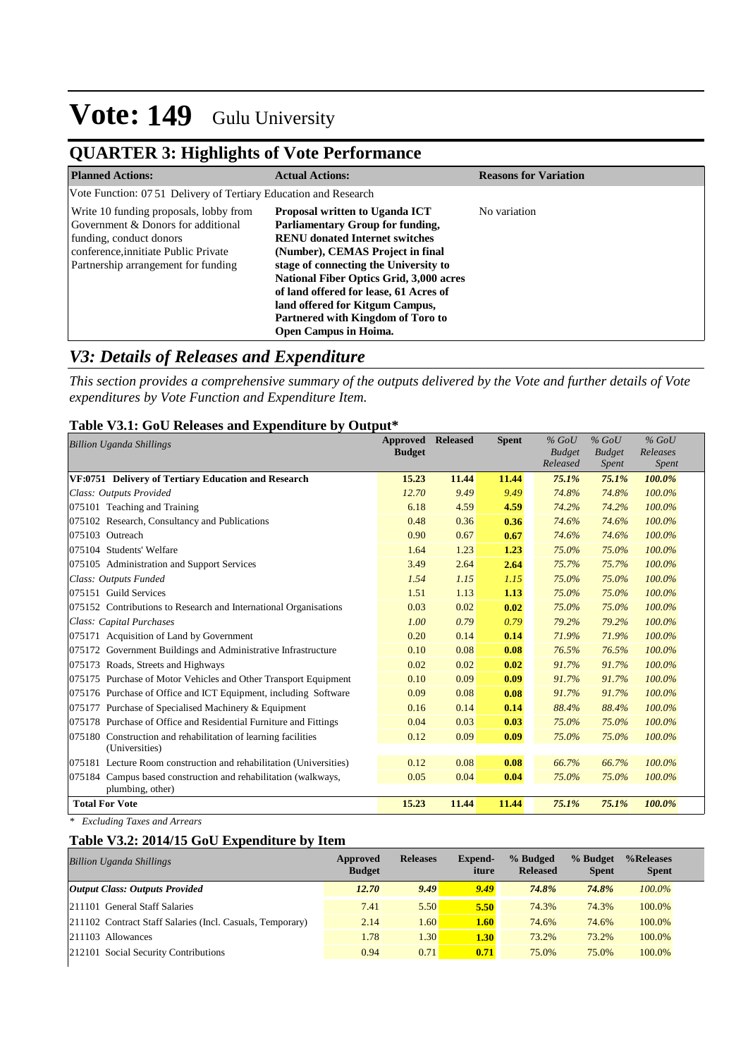### **QUARTER 3: Highlights of Vote Performance**

| <b>Planned Actions:</b>                                                                                                                                                                | <b>Actual Actions:</b>                                                                                                                                                                                                                                                                                                                                                                                     | <b>Reasons for Variation</b> |
|----------------------------------------------------------------------------------------------------------------------------------------------------------------------------------------|------------------------------------------------------------------------------------------------------------------------------------------------------------------------------------------------------------------------------------------------------------------------------------------------------------------------------------------------------------------------------------------------------------|------------------------------|
| Vote Function: 07.51 Delivery of Tertiary Education and Research                                                                                                                       |                                                                                                                                                                                                                                                                                                                                                                                                            |                              |
| Write 10 funding proposals, lobby from<br>Government & Donors for additional<br>funding, conduct donors<br>conference, innitiate Public Private<br>Partnership arrangement for funding | <b>Proposal written to Uganda ICT</b><br><b>Parliamentary Group for funding,</b><br><b>RENU</b> donated Internet switches<br>(Number), CEMAS Project in final<br>stage of connecting the University to<br><b>National Fiber Optics Grid, 3,000 acres</b><br>of land offered for lease, 61 Acres of<br>land offered for Kitgum Campus,<br>Partnered with Kingdom of Toro to<br><b>Open Campus in Hoima.</b> | No variation                 |

#### *V3: Details of Releases and Expenditure*

*This section provides a comprehensive summary of the outputs delivered by the Vote and further details of Vote expenditures by Vote Function and Expenditure Item.*

#### **Table V3.1: GoU Releases and Expenditure by Output\***

| <b>Billion Uganda Shillings</b>                                                    | Approved<br><b>Budget</b> | <b>Released</b> | <b>Spent</b> | $%$ GoU<br><b>Budget</b><br>Released | $%$ GoU<br><b>Budget</b><br><i>Spent</i> | $%$ GoU<br>Releases<br>Spent |
|------------------------------------------------------------------------------------|---------------------------|-----------------|--------------|--------------------------------------|------------------------------------------|------------------------------|
| VF:0751 Delivery of Tertiary Education and Research                                | 15.23                     | 11.44           | 11.44        | 75.1%                                | 75.1%                                    | 100.0%                       |
| Class: Outputs Provided                                                            | 12.70                     | 9.49            | 9.49         | 74.8%                                | 74.8%                                    | 100.0%                       |
| 075101 Teaching and Training                                                       | 6.18                      | 4.59            | 4.59         | 74.2%                                | 74.2%                                    | 100.0%                       |
| 075102 Research, Consultancy and Publications                                      | 0.48                      | 0.36            | 0.36         | 74.6%                                | 74.6%                                    | 100.0%                       |
| 075103 Outreach                                                                    | 0.90                      | 0.67            | 0.67         | 74.6%                                | 74.6%                                    | 100.0%                       |
| 075104 Students' Welfare                                                           | 1.64                      | 1.23            | 1.23         | 75.0%                                | 75.0%                                    | 100.0%                       |
| 075105 Administration and Support Services                                         | 3.49                      | 2.64            | 2.64         | 75.7%                                | 75.7%                                    | 100.0%                       |
| Class: Outputs Funded                                                              | 1.54                      | 1.15            | 1.15         | 75.0%                                | 75.0%                                    | 100.0%                       |
| 075151 Guild Services                                                              | 1.51                      | 1.13            | 1.13         | 75.0%                                | 75.0%                                    | 100.0%                       |
| 075152 Contributions to Research and International Organisations                   | 0.03                      | 0.02            | 0.02         | 75.0%                                | 75.0%                                    | 100.0%                       |
| Class: Capital Purchases                                                           | 1.00                      | 0.79            | 0.79         | 79.2%                                | 79.2%                                    | 100.0%                       |
| 075171 Acquisition of Land by Government                                           | 0.20                      | 0.14            | 0.14         | 71.9%                                | 71.9%                                    | 100.0%                       |
| 075172 Government Buildings and Administrative Infrastructure                      | 0.10                      | 0.08            | 0.08         | 76.5%                                | 76.5%                                    | 100.0%                       |
| 075173 Roads, Streets and Highways                                                 | 0.02                      | 0.02            | 0.02         | 91.7%                                | 91.7%                                    | 100.0%                       |
| 075175 Purchase of Motor Vehicles and Other Transport Equipment                    | 0.10                      | 0.09            | 0.09         | 91.7%                                | 91.7%                                    | 100.0%                       |
| 075176 Purchase of Office and ICT Equipment, including Software                    | 0.09                      | 0.08            | 0.08         | 91.7%                                | 91.7%                                    | 100.0%                       |
| 075177 Purchase of Specialised Machinery & Equipment                               | 0.16                      | 0.14            | 0.14         | 88.4%                                | 88.4%                                    | 100.0%                       |
| 075178 Purchase of Office and Residential Furniture and Fittings                   | 0.04                      | 0.03            | 0.03         | 75.0%                                | 75.0%                                    | 100.0%                       |
| 075180 Construction and rehabilitation of learning facilities<br>(Universities)    | 0.12                      | 0.09            | 0.09         | 75.0%                                | 75.0%                                    | 100.0%                       |
| 075181 Lecture Room construction and rehabilitation (Universities)                 | 0.12                      | 0.08            | 0.08         | 66.7%                                | 66.7%                                    | 100.0%                       |
| 075184 Campus based construction and rehabilitation (walkways,<br>plumbing, other) | 0.05                      | 0.04            | 0.04         | 75.0%                                | 75.0%                                    | 100.0%                       |
| <b>Total For Vote</b>                                                              | 15.23                     | 11.44           | 11.44        | 75.1%                                | 75.1%                                    | 100.0%                       |

*\* Excluding Taxes and Arrears*

#### **Table V3.2: 2014/15 GoU Expenditure by Item**

| <b>Billion Uganda Shillings</b>                           | Approved<br><b>Budget</b> | <b>Releases</b> | Expend-<br>iture | % Budged<br><b>Released</b> | % Budget<br><b>Spent</b> | %Releases<br><b>Spent</b> |
|-----------------------------------------------------------|---------------------------|-----------------|------------------|-----------------------------|--------------------------|---------------------------|
| <b>Output Class: Outputs Provided</b>                     | 12.70                     | 9.49            | 9.49             | 74.8%                       | 74.8%                    | $100.0\%$                 |
| 211101 General Staff Salaries                             | 7.41                      | 5.50            | 5.50             | 74.3%                       | 74.3%                    | 100.0%                    |
| 211102 Contract Staff Salaries (Incl. Casuals, Temporary) | 2.14                      | 1.60            | 1.60             | 74.6%                       | 74.6%                    | 100.0%                    |
| 211103 Allowances                                         | 1.78                      | 1.30            | 1.30             | 73.2%                       | 73.2%                    | 100.0%                    |
| 212101 Social Security Contributions                      | 0.94                      | 0.71            | 0.71             | 75.0%                       | 75.0%                    | 100.0%                    |
|                                                           |                           |                 |                  |                             |                          |                           |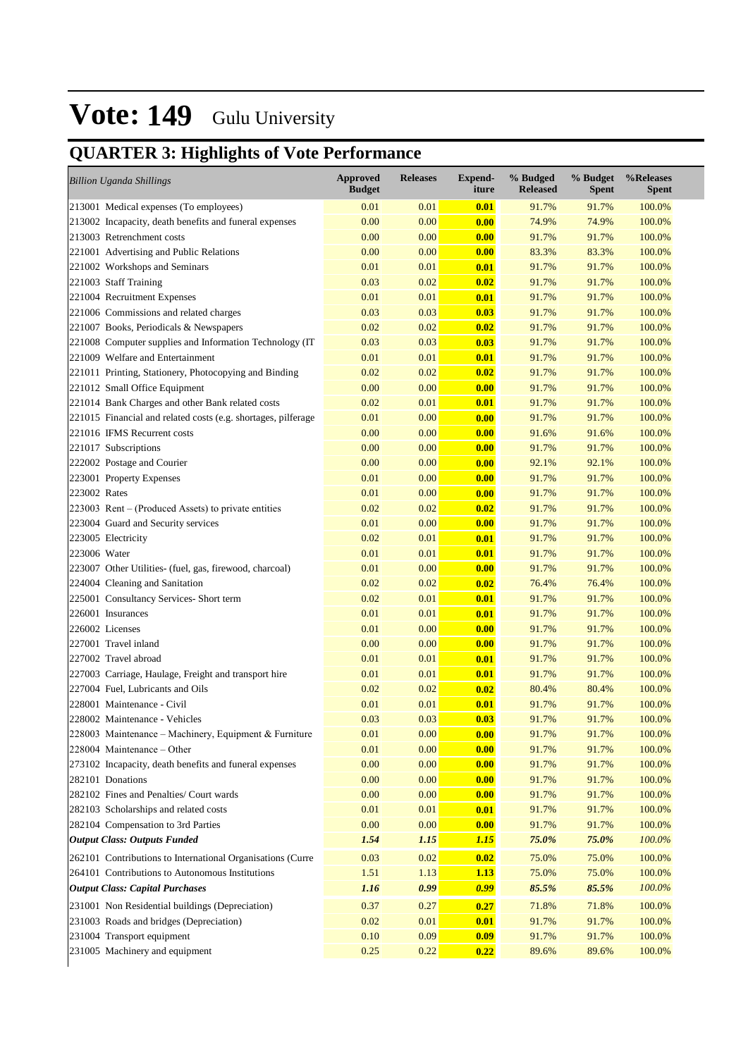## **QUARTER 3: Highlights of Vote Performance**

| <b>Billion Uganda Shillings</b>                               | <b>Approved</b><br><b>Budget</b> | <b>Releases</b> | <b>Expend-</b><br>iture | % Budged<br><b>Released</b> | % Budget<br><b>Spent</b> | %Releases<br><b>Spent</b> |
|---------------------------------------------------------------|----------------------------------|-----------------|-------------------------|-----------------------------|--------------------------|---------------------------|
| 213001 Medical expenses (To employees)                        | 0.01                             | 0.01            | 0.01                    | 91.7%                       | 91.7%                    | 100.0%                    |
| 213002 Incapacity, death benefits and funeral expenses        | 0.00                             | 0.00            | 0.00                    | 74.9%                       | 74.9%                    | 100.0%                    |
| 213003 Retrenchment costs                                     | 0.00                             | 0.00            | 0.00                    | 91.7%                       | 91.7%                    | 100.0%                    |
| 221001 Advertising and Public Relations                       | 0.00                             | 0.00            | 0.00                    | 83.3%                       | 83.3%                    | 100.0%                    |
| 221002 Workshops and Seminars                                 | 0.01                             | 0.01            | 0.01                    | 91.7%                       | 91.7%                    | 100.0%                    |
| 221003 Staff Training                                         | 0.03                             | 0.02            | 0.02                    | 91.7%                       | 91.7%                    | 100.0%                    |
| 221004 Recruitment Expenses                                   | 0.01                             | 0.01            | 0.01                    | 91.7%                       | 91.7%                    | 100.0%                    |
| 221006 Commissions and related charges                        | 0.03                             | 0.03            | 0.03                    | 91.7%                       | 91.7%                    | 100.0%                    |
| 221007 Books, Periodicals & Newspapers                        | 0.02                             | 0.02            | 0.02                    | 91.7%                       | 91.7%                    | 100.0%                    |
| 221008 Computer supplies and Information Technology (IT       | 0.03                             | 0.03            | 0.03                    | 91.7%                       | 91.7%                    | 100.0%                    |
| 221009 Welfare and Entertainment                              | 0.01                             | 0.01            | 0.01                    | 91.7%                       | 91.7%                    | 100.0%                    |
| 221011 Printing, Stationery, Photocopying and Binding         | 0.02                             | 0.02            | 0.02                    | 91.7%                       | 91.7%                    | 100.0%                    |
| 221012 Small Office Equipment                                 | 0.00                             | 0.00            | 0.00                    | 91.7%                       | 91.7%                    | 100.0%                    |
| 221014 Bank Charges and other Bank related costs              | 0.02                             | 0.01            | 0.01                    | 91.7%                       | 91.7%                    | 100.0%                    |
| 221015 Financial and related costs (e.g. shortages, pilferage | 0.01                             | 0.00            | 0.00                    | 91.7%                       | 91.7%                    | 100.0%                    |
| 221016 IFMS Recurrent costs                                   | 0.00                             | 0.00            | 0.00                    | 91.6%                       | 91.6%                    | 100.0%                    |
| 221017 Subscriptions                                          | 0.00                             | 0.00            | 0.00                    | 91.7%                       | 91.7%                    | 100.0%                    |
| 222002 Postage and Courier                                    | 0.00                             | 0.00            | 0.00                    | 92.1%                       | 92.1%                    | 100.0%                    |
| 223001 Property Expenses                                      | 0.01                             | 0.00            | 0.00                    | 91.7%                       | 91.7%                    | 100.0%                    |
| 223002 Rates                                                  | 0.01                             | 0.00            | 0.00                    | 91.7%                       | 91.7%                    | 100.0%                    |
| 223003 Rent – (Produced Assets) to private entities           | 0.02                             | 0.02            | 0.02                    | 91.7%                       | 91.7%                    | 100.0%                    |
| 223004 Guard and Security services                            | 0.01                             | 0.00            | 0.00                    | 91.7%                       | 91.7%                    | 100.0%                    |
| 223005 Electricity                                            | 0.02                             | 0.01            | 0.01                    | 91.7%                       | 91.7%                    | 100.0%                    |
| 223006 Water                                                  | 0.01                             | 0.01            | 0.01                    | 91.7%                       | 91.7%                    | 100.0%                    |
| 223007 Other Utilities- (fuel, gas, firewood, charcoal)       | 0.01                             | 0.00            | 0.00                    | 91.7%                       | 91.7%                    | 100.0%                    |
| 224004 Cleaning and Sanitation                                | 0.02                             | 0.02            | 0.02                    | 76.4%                       | 76.4%                    | 100.0%                    |
| 225001 Consultancy Services- Short term                       | 0.02                             | 0.01            | 0.01                    | 91.7%                       | 91.7%                    | 100.0%                    |
| 226001 Insurances                                             | 0.01                             | 0.01            | 0.01                    | 91.7%                       | 91.7%                    | 100.0%                    |
| 226002 Licenses                                               | 0.01                             | 0.00            | 0.00                    | 91.7%                       | 91.7%                    | 100.0%                    |
| 227001 Travel inland                                          | 0.00                             | 0.00            | 0.00                    | 91.7%                       | 91.7%                    | 100.0%                    |
| 227002 Travel abroad                                          | 0.01                             | 0.01            | 0.01                    | 91.7%                       | 91.7%                    | 100.0%                    |
| 227003 Carriage, Haulage, Freight and transport hire          | 0.01                             | 0.01            | 0.01                    | 91.7%                       | 91.7%                    | 100.0%                    |
| 227004 Fuel, Lubricants and Oils                              | 0.02                             | 0.02            | 0.02                    | 80.4%                       | 80.4%                    | 100.0%                    |
| 228001 Maintenance - Civil                                    | 0.01                             | 0.01            | 0.01                    | 91.7%                       | 91.7%                    | 100.0%                    |
| 228002 Maintenance - Vehicles                                 | 0.03                             | 0.03            | 0.03                    | 91.7%                       | 91.7%                    | 100.0%                    |
| 228003 Maintenance – Machinery, Equipment & Furniture         | 0.01                             | 0.00            | 0.00                    | 91.7%                       | 91.7%                    | 100.0%                    |
| $228004$ Maintenance – Other                                  | 0.01                             | 0.00            | 0.00                    | 91.7%                       | 91.7%                    | 100.0%                    |
| 273102 Incapacity, death benefits and funeral expenses        | 0.00                             | 0.00            | 0.00                    | 91.7%                       | 91.7%                    | 100.0%                    |
| 282101 Donations                                              | 0.00                             | 0.00            | 0.00                    | 91.7%                       | 91.7%                    | 100.0%                    |
| 282102 Fines and Penalties/ Court wards                       | 0.00                             | 0.00            | 0.00                    | 91.7%                       | 91.7%                    | 100.0%                    |
| 282103 Scholarships and related costs                         | 0.01                             | 0.01            | 0.01                    | 91.7%                       | 91.7%                    | 100.0%                    |
| 282104 Compensation to 3rd Parties                            | 0.00                             | 0.00            | 0.00                    | 91.7%                       | 91.7%                    | 100.0%                    |
| <b>Output Class: Outputs Funded</b>                           | 1.54                             | 1.15            | <b>1.15</b>             | 75.0%                       | 75.0%                    | 100.0%                    |
| 262101 Contributions to International Organisations (Curre    | 0.03                             | 0.02            | 0.02                    | 75.0%                       | 75.0%                    | 100.0%                    |
| 264101 Contributions to Autonomous Institutions               | 1.51                             | 1.13            | 1.13                    | 75.0%                       | 75.0%                    | 100.0%                    |
| <b>Output Class: Capital Purchases</b>                        | 1.16                             | 0.99            | 0.99                    | 85.5%                       | 85.5%                    | 100.0%                    |
|                                                               |                                  | 0.27            | 0.27                    |                             |                          | 100.0%                    |
| 231001 Non Residential buildings (Depreciation)               | 0.37<br>0.02                     | 0.01            |                         | 71.8%                       | 71.8%                    |                           |
| 231003 Roads and bridges (Depreciation)                       | 0.10                             | 0.09            | 0.01<br>0.09            | 91.7%                       | 91.7%                    | 100.0%                    |
| 231004 Transport equipment<br>231005 Machinery and equipment  | 0.25                             | 0.22            | 0.22                    | 91.7%<br>89.6%              | 91.7%<br>89.6%           | 100.0%<br>100.0%          |
|                                                               |                                  |                 |                         |                             |                          |                           |